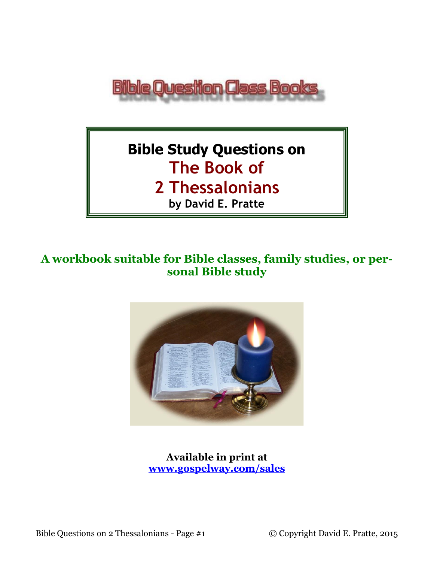

# **Bible Study Questions on The Book of**

**2 Thessalonians** 

**by David E. Pratte**

# **A workbook suitable for Bible classes, family studies, or personal Bible study**



**Available in print at [www.gospelway.com/sales](https://www.gospelway.com/sales)**

Bible Questions on 2 Thessalonians - Page #1 © Copyright David E. Pratte, 2015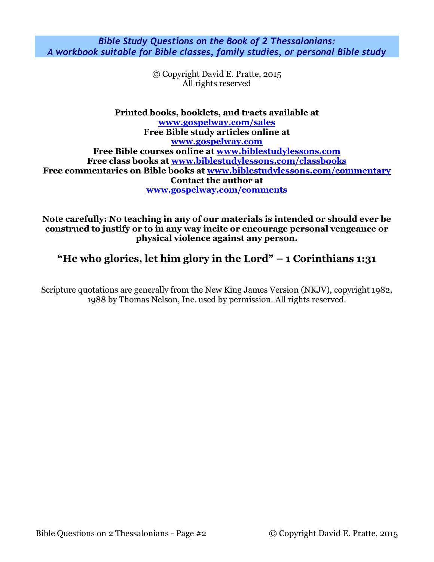*Bible Study Questions on the Book of 2 Thessalonians: A workbook suitable for Bible classes, family studies, or personal Bible study*

> © Copyright David E. Pratte, 2015 All rights reserved

**Printed books, booklets, and tracts available at [www.gospelway.com/sales](https://www.gospelway.com/sales) Free Bible study articles online at [www.gospelway.com](http://www.gospelway.com/) Free Bible courses online at [www.biblestudylessons.com](http://www.biblestudylessons.com/) Free class books at [www.biblestudylessons.com/classbooks](http://www.biblestudylessons.com/classbooks) Free commentaries on Bible books at [www.biblestudylessons.com/commentary](https://www.biblestudylessons.com/commentary) Contact the author at [www.gospelway.com/comments](http://www.gospelway.com/comments)**

**Note carefully: No teaching in any of our materials is intended or should ever be construed to justify or to in any way incite or encourage personal vengeance or physical violence against any person.**

## **"He who glories, let him glory in the Lord" – 1 Corinthians 1:31**

Scripture quotations are generally from the New King James Version (NKJV), copyright 1982, 1988 by Thomas Nelson, Inc. used by permission. All rights reserved.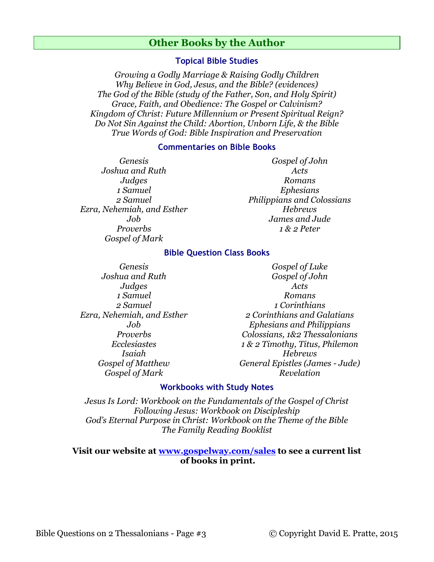### **Other Books by the Author**

#### **Topical Bible Studies**

*Growing a Godly Marriage & Raising Godly Children Why Believe in God, Jesus, and the Bible? (evidences) The God of the Bible (study of the Father, Son, and Holy Spirit) Grace, Faith, and Obedience: The Gospel or Calvinism? Kingdom of Christ: Future Millennium or Present Spiritual Reign? Do Not Sin Against the Child: Abortion, Unborn Life, & the Bible True Words of God: Bible Inspiration and Preservation*

#### **Commentaries on Bible Books**

*Genesis Joshua and Ruth Judges 1 Samuel 2 Samuel Ezra, Nehemiah, and Esther Job Proverbs Gospel of Mark* 

*Gospel of John Acts Romans Ephesians Philippians and Colossians Hebrews James and Jude 1 & 2 Peter*

#### **Bible Question Class Books**

*Genesis Joshua and Ruth Judges 1 Samuel 2 Samuel Ezra, Nehemiah, and Esther Job Proverbs Ecclesiastes Isaiah Gospel of Matthew Gospel of Mark*

*Gospel of Luke Gospel of John Acts Romans 1 Corinthians 2 Corinthians and Galatians Ephesians and Philippians Colossians, 1&2 Thessalonians 1 & 2 Timothy, Titus, Philemon Hebrews General Epistles (James - Jude) Revelation*

#### **Workbooks with Study Notes**

*Jesus Is Lord: Workbook on the Fundamentals of the Gospel of Christ Following Jesus: Workbook on Discipleship God's Eternal Purpose in Christ: Workbook on the Theme of the Bible The Family Reading Booklist*

#### **Visit our website at [www.gospelway.com/sales](https://www.gospelway.com/sales) to see a current list of books in print.**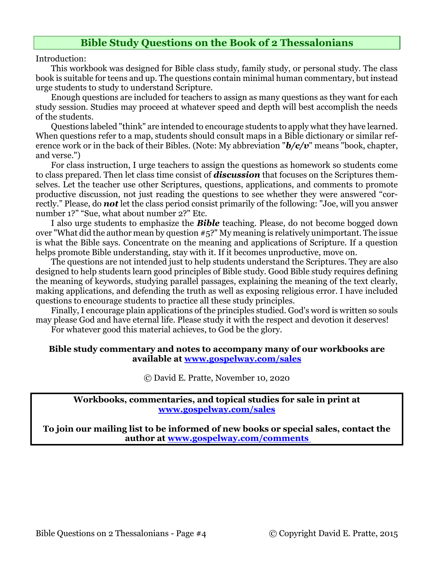## **Bible Study Questions on the Book of 2 Thessalonians**

Introduction:

This workbook was designed for Bible class study, family study, or personal study. The class book is suitable for teens and up. The questions contain minimal human commentary, but instead urge students to study to understand Scripture.

Enough questions are included for teachers to assign as many questions as they want for each study session. Studies may proceed at whatever speed and depth will best accomplish the needs of the students.

Questions labeled "think" are intended to encourage students to apply what they have learned. When questions refer to a map, students should consult maps in a Bible dictionary or similar reference work or in the back of their Bibles. (Note: My abbreviation "*b/c/v*" means "book, chapter, and verse.")

For class instruction, I urge teachers to assign the questions as homework so students come to class prepared. Then let class time consist of *discussion* that focuses on the Scriptures themselves. Let the teacher use other Scriptures, questions, applications, and comments to promote productive discussion, not just reading the questions to see whether they were answered "correctly." Please, do *not* let the class period consist primarily of the following: "Joe, will you answer number 1?" "Sue, what about number 2?" Etc.

I also urge students to emphasize the *Bible* teaching. Please, do not become bogged down over "What did the author mean by question #5?" My meaning is relatively unimportant. The issue is what the Bible says. Concentrate on the meaning and applications of Scripture. If a question helps promote Bible understanding, stay with it. If it becomes unproductive, move on.

The questions are not intended just to help students understand the Scriptures. They are also designed to help students learn good principles of Bible study. Good Bible study requires defining the meaning of keywords, studying parallel passages, explaining the meaning of the text clearly, making applications, and defending the truth as well as exposing religious error. I have included questions to encourage students to practice all these study principles.

Finally, I encourage plain applications of the principles studied. God's word is written so souls may please God and have eternal life. Please study it with the respect and devotion it deserves! For whatever good this material achieves, to God be the glory.

#### **Bible study commentary and notes to accompany many of our workbooks are available at [www.gospelway.com/sales](https://www.gospelway.com/sales)**

© David E. Pratte, November 10, 2020

**Workbooks, commentaries, and topical studies for sale in print at [www.gospelway.com/sales](https://www.gospelway.com/sales)**

**To join our mailing list to be informed of new books or special sales, contact the author at [www.gospelway.com/comments](http://www.gospelway.com/comments)**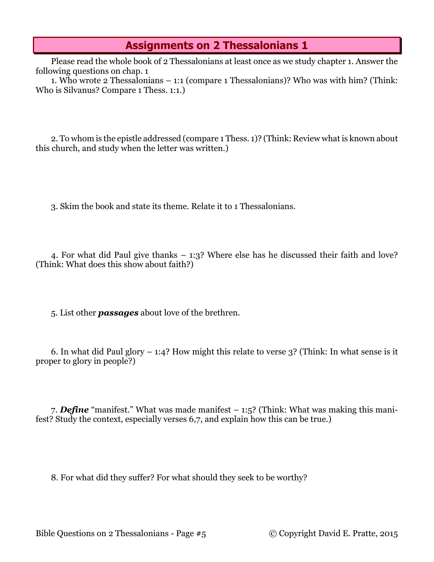## **Assignments on 2 Thessalonians 1**

Please read the whole book of 2 Thessalonians at least once as we study chapter 1. Answer the following questions on chap. 1

1. Who wrote 2 Thessalonians – 1:1 (compare 1 Thessalonians)? Who was with him? (Think: Who is Silvanus? Compare 1 Thess. 1:1.)

2. To whom is the epistle addressed (compare 1 Thess. 1)? (Think: Review what is known about this church, and study when the letter was written.)

3. Skim the book and state its theme. Relate it to 1 Thessalonians.

4. For what did Paul give thanks – 1:3? Where else has he discussed their faith and love? (Think: What does this show about faith?)

5. List other *passages* about love of the brethren.

6. In what did Paul glory  $-1:4$ ? How might this relate to verse 3? (Think: In what sense is it proper to glory in people?)

7. *Define* "manifest." What was made manifest – 1:5? (Think: What was making this manifest? Study the context, especially verses 6,7, and explain how this can be true.)

8. For what did they suffer? For what should they seek to be worthy?

Bible Questions on 2 Thessalonians - Page #5 © Copyright David E. Pratte, 2015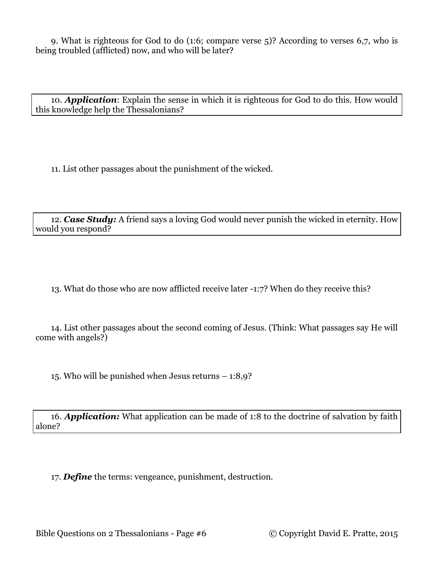9. What is righteous for God to do (1:6; compare verse 5)? According to verses 6,7, who is being troubled (afflicted) now, and who will be later?

10. *Application*: Explain the sense in which it is righteous for God to do this. How would this knowledge help the Thessalonians?

11. List other passages about the punishment of the wicked.

12. *Case Study:* A friend says a loving God would never punish the wicked in eternity. How would you respond?

13. What do those who are now afflicted receive later -1:7? When do they receive this?

14. List other passages about the second coming of Jesus. (Think: What passages say He will come with angels?)

15. Who will be punished when Jesus returns – 1:8,9?

16. *Application:* What application can be made of 1:8 to the doctrine of salvation by faith alone?

17. *Define* the terms: vengeance, punishment, destruction.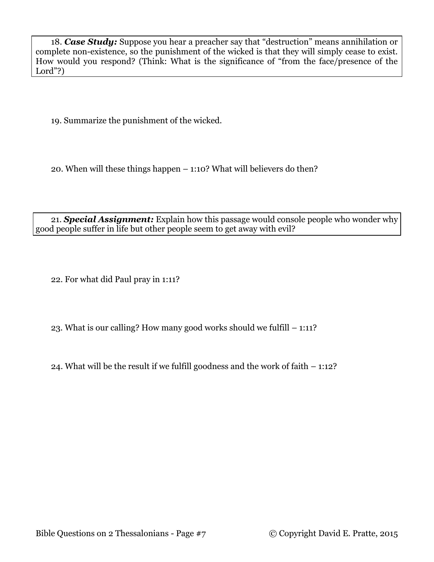18. *Case Study:* Suppose you hear a preacher say that "destruction" means annihilation or complete non-existence, so the punishment of the wicked is that they will simply cease to exist. How would you respond? (Think: What is the significance of "from the face/presence of the Lord"?)

19. Summarize the punishment of the wicked.

20. When will these things happen – 1:10? What will believers do then?

21. *Special Assignment:* Explain how this passage would console people who wonder why good people suffer in life but other people seem to get away with evil?

22. For what did Paul pray in 1:11?

23. What is our calling? How many good works should we fulfill – 1:11?

24. What will be the result if we fulfill goodness and the work of faith – 1:12?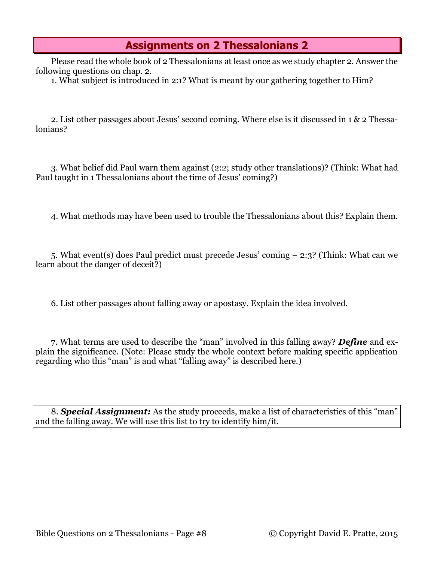## **Assignments on 2 Thessalonians 2**

Please read the whole book of 2 Thessalonians at least once as we study chapter 2. Answer the following questions on chap. 2.

1. What subject is introduced in 2:1? What is meant by our gathering together to Him?

2. List other passages about Jesus' second coming. Where else is it discussed in 1 & 2 Thessalonians?

3. What belief did Paul warn them against (2:2; study other translations)? (Think: What had Paul taught in 1 Thessalonians about the time of Jesus' coming?)

4. What methods may have been used to trouble the Thessalonians about this? Explain them.

5. What event(s) does Paul predict must precede Jesus' coming – 2:3? (Think: What can we learn about the danger of deceit?)

6. List other passages about falling away or apostasy. Explain the idea involved.

7. What terms are used to describe the "man" involved in this falling away? *Define* and explain the significance. (Note: Please study the whole context before making specific application regarding who this "man" is and what "falling away" is described here.)

8. *Special Assignment:* As the study proceeds, make a list of characteristics of this "man" and the falling away. We will use this list to try to identify him/it.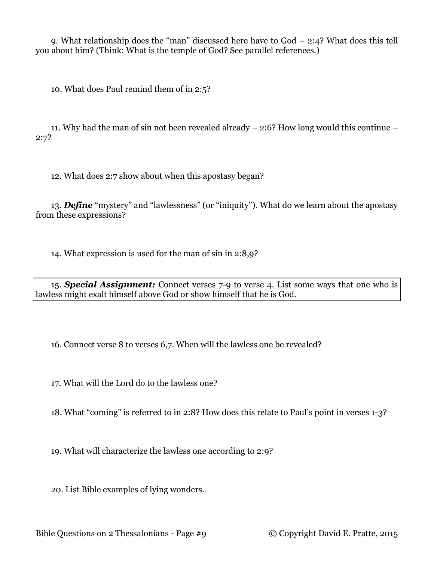9. What relationship does the "man" discussed here have to God – 2:4? What does this tell you about him? (Think: What is the temple of God? See parallel references.)

10. What does Paul remind them of in 2:5?

11. Why had the man of sin not been revealed already – 2:6? How long would this continue – 2:7?

12. What does 2:7 show about when this apostasy began?

13. *Define* "mystery" and "lawlessness" (or "iniquity"). What do we learn about the apostasy from these expressions?

14. What expression is used for the man of sin in 2:8,9?

15. *Special Assignment:* Connect verses 7-9 to verse 4. List some ways that one who is lawless might exalt himself above God or show himself that he is God.

16. Connect verse 8 to verses 6,7. When will the lawless one be revealed?

17. What will the Lord do to the lawless one?

18. What "coming" is referred to in 2:8? How does this relate to Paul's point in verses 1-3?

19. What will characterize the lawless one according to 2:9?

20. List Bible examples of lying wonders.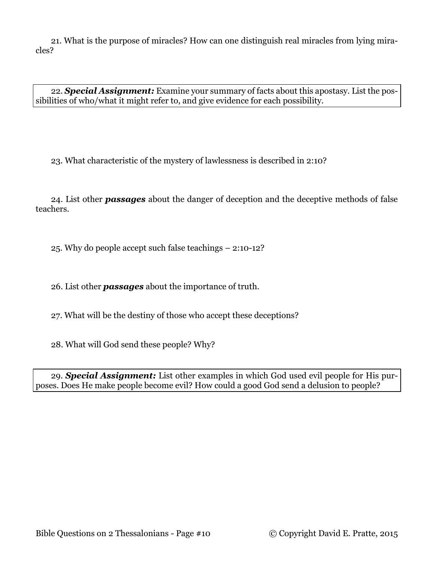21. What is the purpose of miracles? How can one distinguish real miracles from lying miracles?

22. *Special Assignment:* Examine your summary of facts about this apostasy. List the possibilities of who/what it might refer to, and give evidence for each possibility.

23. What characteristic of the mystery of lawlessness is described in 2:10?

24. List other *passages* about the danger of deception and the deceptive methods of false teachers.

25. Why do people accept such false teachings – 2:10-12?

26. List other *passages* about the importance of truth.

27. What will be the destiny of those who accept these deceptions?

28. What will God send these people? Why?

29. *Special Assignment:* List other examples in which God used evil people for His purposes. Does He make people become evil? How could a good God send a delusion to people?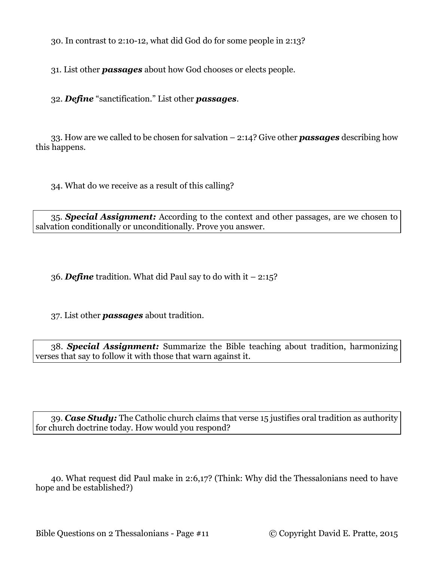30. In contrast to 2:10-12, what did God do for some people in 2:13?

31. List other *passages* about how God chooses or elects people.

32. *Define* "sanctification." List other *passages*.

33. How are we called to be chosen for salvation – 2:14? Give other *passages* describing how this happens.

34. What do we receive as a result of this calling?

35. *Special Assignment:* According to the context and other passages, are we chosen to salvation conditionally or unconditionally. Prove you answer.

36. *Define* tradition. What did Paul say to do with it – 2:15?

37. List other *passages* about tradition.

38. *Special Assignment:* Summarize the Bible teaching about tradition, harmonizing verses that say to follow it with those that warn against it.

39. *Case Study:* The Catholic church claims that verse 15 justifies oral tradition as authority for church doctrine today. How would you respond?

40. What request did Paul make in 2:6,17? (Think: Why did the Thessalonians need to have hope and be established?)

Bible Questions on 2 Thessalonians - Page #11 © Copyright David E. Pratte, 2015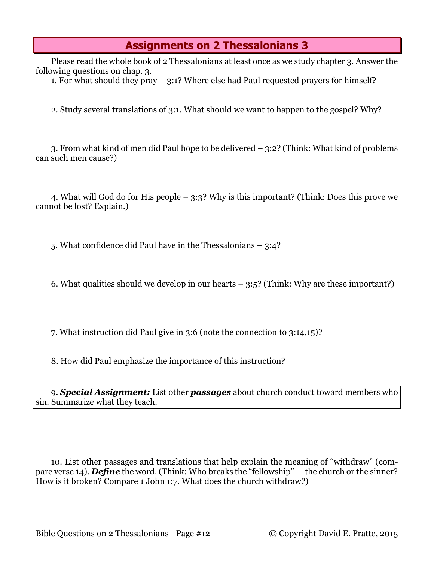## **Assignments on 2 Thessalonians 3**

Please read the whole book of 2 Thessalonians at least once as we study chapter 3. Answer the following questions on chap. 3.

1. For what should they pray – 3:1? Where else had Paul requested prayers for himself?

2. Study several translations of 3:1. What should we want to happen to the gospel? Why?

3. From what kind of men did Paul hope to be delivered – 3:2? (Think: What kind of problems can such men cause?)

4. What will God do for His people – 3:3? Why is this important? (Think: Does this prove we cannot be lost? Explain.)

5. What confidence did Paul have in the Thessalonians – 3:4?

6. What qualities should we develop in our hearts  $-3:5$ ? (Think: Why are these important?)

7. What instruction did Paul give in 3:6 (note the connection to 3:14,15)?

8. How did Paul emphasize the importance of this instruction?

9. *Special Assignment:* List other *passages* about church conduct toward members who sin. Summarize what they teach.

10. List other passages and translations that help explain the meaning of "withdraw" (compare verse 14). *Define* the word. (Think: Who breaks the "fellowship" — the church or the sinner? How is it broken? Compare 1 John 1:7. What does the church withdraw?)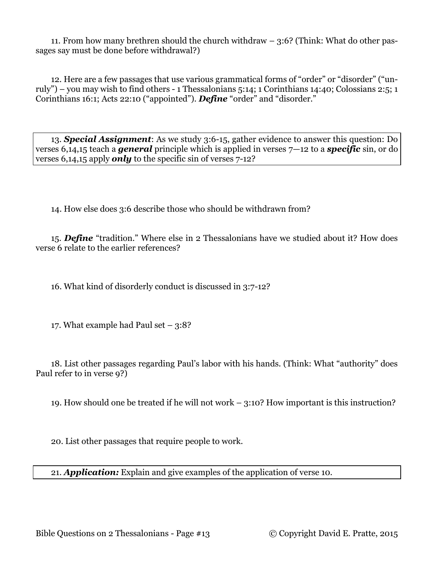11. From how many brethren should the church withdraw – 3:6? (Think: What do other passages say must be done before withdrawal?)

12. Here are a few passages that use various grammatical forms of "order" or "disorder" ("unruly") – you may wish to find others - 1 Thessalonians 5:14; 1 Corinthians 14:40; Colossians 2:5; 1 Corinthians 16:1; Acts 22:10 ("appointed"). *Define* "order" and "disorder."

13. *Special Assignment*: As we study 3:6-15, gather evidence to answer this question: Do verses 6,14,15 teach a *general* principle which is applied in verses 7—12 to a *specific* sin, or do verses 6,14,15 apply *only* to the specific sin of verses 7-12?

14. How else does 3:6 describe those who should be withdrawn from?

15. *Define* "tradition." Where else in 2 Thessalonians have we studied about it? How does verse 6 relate to the earlier references?

16. What kind of disorderly conduct is discussed in 3:7-12?

17. What example had Paul set  $-3:8$ ?

18. List other passages regarding Paul's labor with his hands. (Think: What "authority" does Paul refer to in verse 9?)

19. How should one be treated if he will not work – 3:10? How important is this instruction?

20. List other passages that require people to work.

21. *Application:* Explain and give examples of the application of verse 10.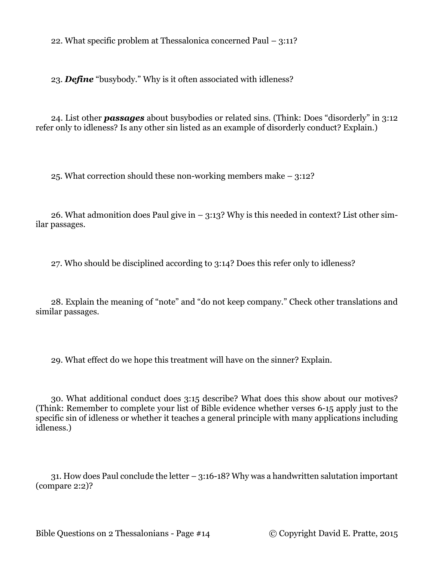22. What specific problem at Thessalonica concerned Paul – 3:11?

23. *Define* "busybody." Why is it often associated with idleness?

24. List other *passages* about busybodies or related sins. (Think: Does "disorderly" in 3:12 refer only to idleness? Is any other sin listed as an example of disorderly conduct? Explain.)

25. What correction should these non-working members make – 3:12?

26. What admonition does Paul give in  $-$  3:13? Why is this needed in context? List other similar passages.

27. Who should be disciplined according to 3:14? Does this refer only to idleness?

28. Explain the meaning of "note" and "do not keep company." Check other translations and similar passages.

29. What effect do we hope this treatment will have on the sinner? Explain.

30. What additional conduct does 3:15 describe? What does this show about our motives? (Think: Remember to complete your list of Bible evidence whether verses 6-15 apply just to the specific sin of idleness or whether it teaches a general principle with many applications including idleness.)

31. How does Paul conclude the letter – 3:16-18? Why was a handwritten salutation important (compare 2:2)?